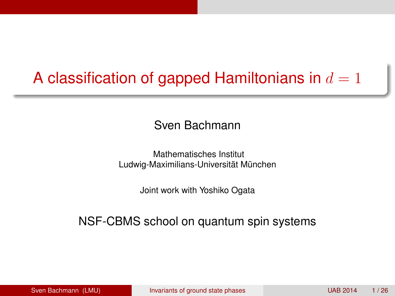# A classification of gapped Hamiltonians in  $d = 1$

#### Sven Bachmann

Mathematisches Institut Ludwig-Maximilians-Universität München

<span id="page-0-0"></span>Joint work with Yoshiko Ogata

#### NSF-CBMS school on quantum spin systems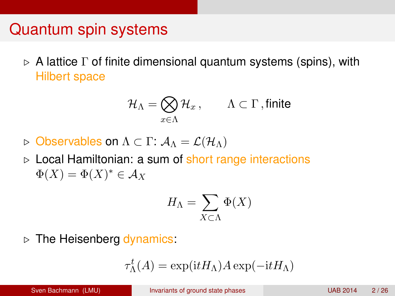### Quantum spin systems

 $\triangleright$  A lattice  $\Gamma$  of finite dimensional quantum systems (spins), with Hilbert space

$$
\mathcal{H}_{\Lambda} = \bigotimes_{x \in \Lambda} \mathcal{H}_x, \qquad \Lambda \subset \Gamma \text{ , finite }
$$

- $\triangleright$  Observables on  $\Lambda \subset \Gamma: \mathcal{A}_{\Lambda} = \mathcal{L}(\mathcal{H}_{\Lambda})$
- $\triangleright$  Local Hamiltonian: a sum of short range interactions  $\Phi(X) = \Phi(X)^* \in \mathcal{A}_X$

$$
H_{\Lambda} = \sum_{X \subset \Lambda} \Phi(X)
$$

 $\triangleright$  The Heisenberg dynamics:

$$
\tau_{\Lambda}^t(A) = \exp(\mathrm{i} t H_{\Lambda}) A \exp(-\mathrm{i} t H_{\Lambda})
$$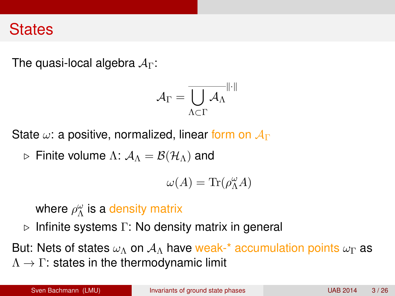#### **States**

The quasi-local algebra  $A_{\Gamma}$ :

$$
\mathcal{A}_{\Gamma} = \overline{\bigcup_{\Lambda \subset \Gamma} \mathcal{A}_{\Lambda}}^{\|\cdot\|}
$$

State  $\omega$ : a positive, normalized, linear form on  $\mathcal{A}_{\Gamma}$ 

 $\rhd$  Finite volume Λ:  $\mathcal{A}_\Lambda = \mathcal{B}(\mathcal{H}_\Lambda)$  and

$$
\omega(A) = \text{Tr}(\rho_{\Lambda}^{\omega}A)
$$

where  $\rho_\Lambda^\omega$  is a density matrix

 $\triangleright$  Infinite systems Γ: No density matrix in general

But: Nets of states  $\omega_{\Lambda}$  on  $\mathcal{A}_{\Lambda}$  have weak-\* accumulation points  $\omega_{\Gamma}$  as  $\Lambda \rightarrow \Gamma$ : states in the thermodynamic limit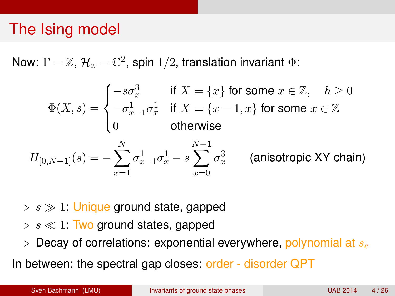## The Ising model

Now:  $\Gamma=\mathbb{Z},$   $\mathcal{H}_x=\mathbb{C}^2$ , spin 1/2, translation invariant  $\Phi$ :

$$
\Phi(X,s) = \begin{cases}\n-s\sigma_x^3 & \text{if } X = \{x\} \text{ for some } x \in \mathbb{Z}, \quad h \ge 0 \\
-\sigma_{x-1}^1 \sigma_x^1 & \text{if } X = \{x-1, x\} \text{ for some } x \in \mathbb{Z} \\
0 & \text{otherwise}\n\end{cases}
$$
\n
$$
H_{[0,N-1]}(s) = -\sum_{x=1}^N \sigma_{x-1}^1 \sigma_x^1 - s \sum_{x=0}^{N-1} \sigma_x^3 \qquad \text{(anisotropic XY chain)}
$$

 $s \gg 1$ : Unique ground state, gapped

- $\triangleright$  s  $\ll$  1: Two ground states, gapped
- $\triangleright$  Decay of correlations: exponential everywhere, polynomial at  $s_c$

In between: the spectral gap closes: order - disorder QPT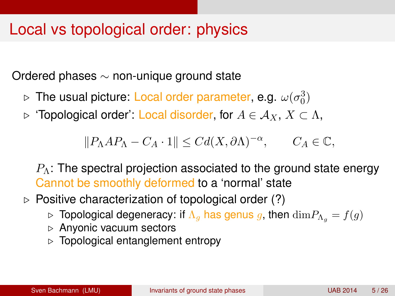### Local vs topological order: physics

Ordered phases ∼ non-unique ground state

- $\triangleright$  The usual picture: Local order parameter, e.g.  $\omega(\sigma_0^3)$
- $\triangleright$  'Topological order': Local disorder, for  $A \in \mathcal{A}_X, X \subset \Lambda$ ,

$$
||P_{\Lambda}AP_{\Lambda}-C_A \cdot 1|| \leq Cd(X,\partial \Lambda)^{-\alpha}, \qquad C_A \in \mathbb{C},
$$

 $P_{\Lambda}$ : The spectral projection associated to the ground state energy Cannot be smoothly deformed to a 'normal' state

- $\triangleright$  Positive characterization of topological order (?)
	- $\triangleright$  Topological degeneracy: if  $\Lambda_g$  has genus g, then  $\dim P_{\Lambda_g} = f(g)$
	- $\triangleright$  Anyonic vacuum sectors
	- $\triangleright$  Topological entanglement entropy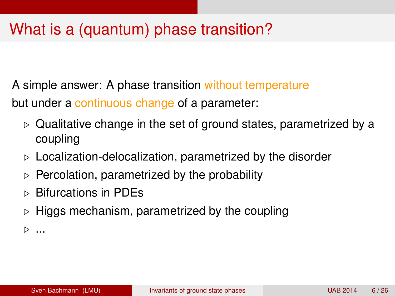# What is a (quantum) phase transition?

A simple answer: A phase transition without temperature but under a continuous change of a parameter:

- $\triangleright$  Qualitative change in the set of ground states, parametrized by a coupling
- $\triangleright$  Localization-delocalization, parametrized by the disorder
- $\triangleright$  Percolation, parametrized by the probability
- $\triangleright$  Bifurcations in PDEs
- $\triangleright$  Higgs mechanism, parametrized by the coupling

 $\triangleright$  ...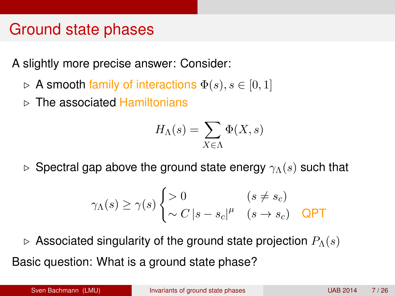## Ground state phases

A slightly more precise answer: Consider:

- $\triangleright$  A smooth family of interactions  $\Phi(s), s \in [0,1]$
- $\triangleright$  The associated Hamiltonians

$$
H_{\Lambda}(s) = \sum_{X \in \Lambda} \Phi(X, s)
$$

 $\triangleright$  Spectral gap above the ground state energy  $\gamma_{\Lambda}(s)$  such that

$$
\gamma_{\Lambda}(s) \ge \gamma(s) \begin{cases} > 0 & (s \ne s_c) \\ \sim C \left| s - s_c \right|^\mu & (s \to s_c) \quad \text{QPT} \end{cases}
$$

 $\triangleright$  Associated singularity of the ground state projection  $P_{\Lambda}(s)$ Basic question: What is a ground state phase?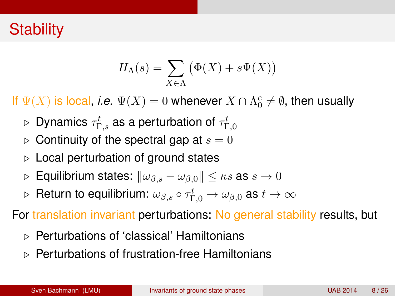## **Stability**

$$
H_{\Lambda}(s) = \sum_{X \in \Lambda} (\Phi(X) + s\Psi(X))
$$

If  $\Psi(X)$  is local, *i.e.*  $\Psi(X) = 0$  whenever  $X \cap \Lambda_0^c \neq \emptyset$ , then usually

- $\triangleright$  Dynamics  $\tau^t_{\Gamma,s}$  as a perturbation of  $\tau^t_{\Gamma,0}$
- $\triangleright$  Continuity of the spectral gap at  $s = 0$
- $\triangleright$  Local perturbation of ground states
- $\triangleright$  Equilibrium states:  $\|\omega_{\beta,s} \omega_{\beta,0}\| \leq \kappa s$  as  $s \to 0$
- $\triangleright$   $\,$  Return to equilibrium:  $\omega_{\beta,s} \circ \tau^t_{\Gamma,0} \to \omega_{\beta,0}$  as  $t \to \infty$

For translation invariant perturbations: No general stability results, but

- . Perturbations of 'classical' Hamiltonians
- . Perturbations of frustration-free Hamiltonians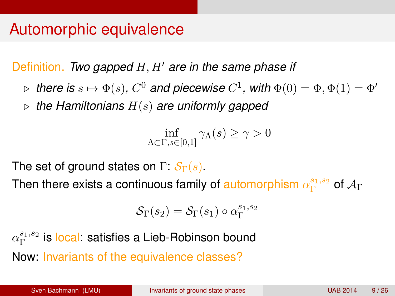### Automorphic equivalence

Definition. *Two gapped H, H' are in the same phase if* 

- $\triangleright$  there is  $s \mapsto \Phi(s)$ ,  $C^0$  and piecewise  $C^1$ , with  $\Phi(0) = \Phi, \Phi(1) = \Phi'$
- $\triangleright$  the Hamiltonians  $H(s)$  are uniformly gapped

$$
\inf_{\Lambda \subset \Gamma, s \in [0,1]} \gamma_{\Lambda}(s) \ge \gamma > 0
$$

The set of ground states on  $\Gamma: \mathcal{S}_{\Gamma}(s)$ .

Then there exists a continuous family of automorphism  $\alpha_{\Gamma}^{s_1,s_2}$  $\frac{s_1,s_2}{\Gamma}$  of  $\mathcal{A}_{\Gamma}$ 

$$
\mathcal{S}_{\Gamma}(s_2) = \mathcal{S}_{\Gamma}(s_1) \circ \alpha_{\Gamma}^{s_1, s_2}
$$

 $\alpha_{\Gamma}^{s_1, s_2}$  $_{\Gamma}^{\mathrm{s}_1,\mathrm{s}_2}$  is l<mark>ocal</mark>: satisfies a Lieb-Robinson bound Now: Invariants of the equivalence classes?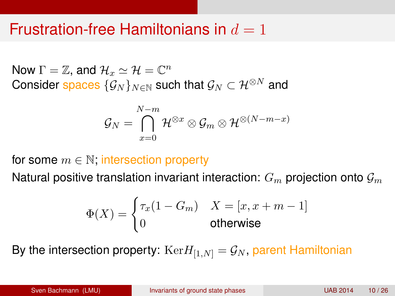### Frustration-free Hamiltonians in  $d=1$

Now  $\Gamma = \mathbb{Z}$ , and  $\mathcal{H}_x \simeq \mathcal{H} = \mathbb{C}^n$ Consider spaces  $\{\mathcal{G}_N\}_{N\in\mathbb{N}}$  such that  $\mathcal{G}_N\subset\mathcal{H}^{\otimes N}$  and

$$
\mathcal{G}_N=\bigcap_{x=0}^{N-m}\mathcal{H}^{\otimes x}\otimes\mathcal{G}_m\otimes\mathcal{H}^{\otimes(N-m-x)}
$$

for some  $m \in \mathbb{N}$ ; intersection property

Natural positive translation invariant interaction:  $G_m$  projection onto  $\mathcal{G}_m$ 

$$
\Phi(X) = \begin{cases} \tau_x (1 - G_m) & X = [x, x + m - 1] \\ 0 & \text{otherwise} \end{cases}
$$

By the intersection property:  $Ker H_{[1,N]} = \mathcal{G}_N$ , parent Hamiltonian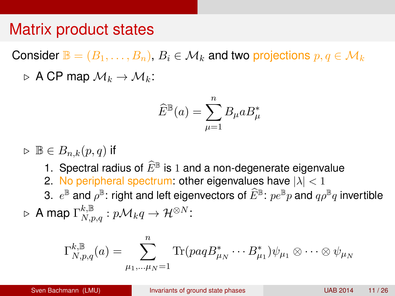### Matrix product states

Consider  $\mathbb{B} = (B_1, \ldots, B_n)$ ,  $B_i \in \mathcal{M}_k$  and two projections  $p, q \in \mathcal{M}_k$  $\triangleright$  A CP map  $\mathcal{M}_k \to \mathcal{M}_k$ :

$$
\widehat{E}^{\mathbb{B}}(a) = \sum_{\mu=1}^{n} B_{\mu} a B_{\mu}^{*}
$$

 $\triangleright$   $\mathbb{B} \in B_{n,k}(p,q)$  if

- 1. Spectral radius of  $\widehat{E}^{\mathbb{B}}$  is 1 and a non-degenerate eigenvalue
- 2. No peripheral spectrum: other eigenvalues have  $|\lambda| < 1$
- 3.  $e^{\mathbb{B}}$  and  $\rho^{\mathbb{B}}$ : right and left eigenvectors of  $\widehat{E}^{\mathbb{B}}$ :  $p e^{\mathbb{B}} p$  and  $q \rho^{\mathbb{B}} q$  invertible
- $\triangleright$  A map  $\Gamma_{N,p,q}^{k,\mathbb{B}}:p\mathcal{M}_k q \rightarrow \mathcal{H}^{\otimes N}$ :

$$
\Gamma_{N,p,q}^{k,\mathbb{B}}(a) = \sum_{\mu_1,\dots,\mu_N=1}^n \text{Tr}(paqB_{\mu_N}^* \cdots B_{\mu_1}^*) \psi_{\mu_1} \otimes \cdots \otimes \psi_{\mu_N}
$$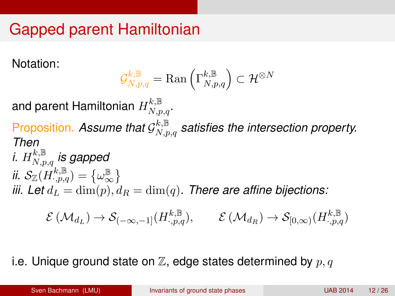# Gapped parent Hamiltonian

Notation:

$$
\mathcal{G}^{k,\mathbb{B}}_{N,p,q}={\rm Ran}\left(\Gamma^{k,\mathbb{B}}_{N,p,q}\right)\subset\mathcal{H}^{\otimes N}
$$

and parent Hamiltonian  $H^{k,\mathbb{B}}_{N,p,q}.$ Proposition. Assume that  $\mathcal{G}^{k,\mathbb{B}}_{N,p,q}$  satisfies the intersection property. *Then*  $i. \ H_{N,p,q}^{k,\mathbb{B}}$  is gapped ii.  $\mathcal{S}_{\mathbb{Z}}(H_{\cdot,p,q}^{k,\mathbb{B}})=\big\{\omega_{\infty}^{\mathbb{B}}% (\mathbb{Z}_{q}^{k,\mathbb{B}})\mid \omega_{\infty}^{\mathbb{B}}(\mathbb{Z}_{q}% )\big\}$ ∞ *iii.* Let  $d_L = \dim(p)$ ,  $d_R = \dim(q)$ . There are affine bijections:

$$
\mathcal{E}\left(\mathcal{M}_{d_L}\right) \to \mathcal{S}_{(-\infty,-1]}(H_{\cdot,p,q}^{k,\mathbb{B}}), \qquad \mathcal{E}\left(\mathcal{M}_{d_R}\right) \to \mathcal{S}_{[0,\infty)}(H_{\cdot,p,q}^{k,\mathbb{B}})
$$

i.e. Unique ground state on  $\mathbb Z$ , edge states determined by  $p, q$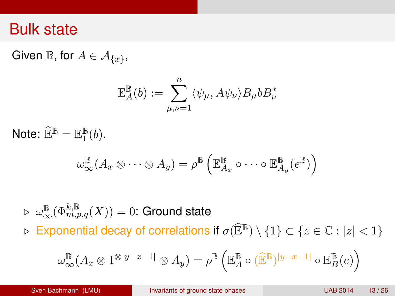#### Bulk state

Given  $\mathbb{B}$ , for  $A \in \mathcal{A}_{\{x\}}$ ,

$$
\mathbb{E}_{A}^{\mathbb{B}}(b) := \sum_{\mu,\nu=1}^{n} \langle \psi_{\mu}, A\psi_{\nu} \rangle B_{\mu} b B_{\nu}^{*}
$$

Note:  $\widehat{\mathbb{E}}^{\mathbb{B}} = \mathbb{E}_1^{\mathbb{B}}$  $\frac{\mathbb{B}}{1}(b)$ .

$$
\omega_\infty^{\mathbb{B}}(A_x \otimes \cdots \otimes A_y) = \rho^{\mathbb{B}}\left(\mathbb{E}_{A_x}^{\mathbb{B}} \circ \cdots \circ \mathbb{E}_{A_y}^{\mathbb{B}}(e^{\mathbb{B}})\right)
$$

 $\triangleright \ \omega^{\mathbb{B}}_{\infty}(\Phi_{m,p,q}^{k,\mathbb{B}}(X)) = 0$ : Ground state  $\triangleright$  Exponential decay of correlations if  $\sigma(\widehat{\mathbb{E}}^{\mathbb{B}}) \setminus \{1\} \subset \{z \in \mathbb{C} : |z| < 1\}$ 

$$
\omega_\infty^{\mathbb{B}}(A_x \otimes 1^{\otimes |y-x-1|} \otimes A_y) = \rho^{\mathbb{B}}\left(\mathbb{E}_A^{\mathbb{B}} \circ (\widehat{\mathbb{E}}^{\mathbb{B}})^{|y-x-1|} \circ \mathbb{E}_B^{\mathbb{B}}(e)\right)
$$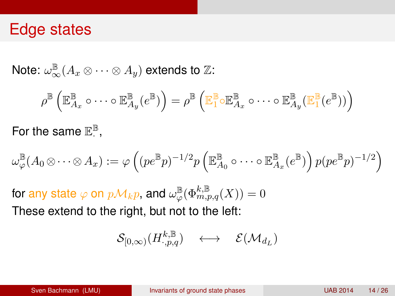#### Edge states

Note:  $\omega_\infty^{\mathbb{B}}(A_x \otimes \cdots \otimes A_y)$  extends to  $\mathbb{Z}$ :

$$
\rho^{\mathbb{B}}\left(\mathbb{E}^{\mathbb{B}}_{A_x} \circ \cdots \circ \mathbb{E}^{\mathbb{B}}_{A_y}(e^{\mathbb{B}})\right) = \rho^{\mathbb{B}}\left(\mathbb{E}^{\mathbb{B}}_{1} \circ \mathbb{E}^{\mathbb{B}}_{A_x} \circ \cdots \circ \mathbb{E}^{\mathbb{B}}_{A_y}(\mathbb{E}^{\mathbb{B}}_{1}(e^{\mathbb{B}}))\right)
$$

For the same  $\mathbb{E}^{\mathbb{B}}$ · ,

$$
\omega_\varphi^{\mathbb{B}}(A_0\otimes \cdots \otimes A_x):=\varphi\left((pe^{\mathbb{B}}p)^{-1/2}p\left(\mathbb{E}^{\mathbb{B}}_{A_0}\circ \cdots \circ \mathbb{E}^{\mathbb{B}}_{A_x}(e^{\mathbb{B}})\right)p(pe^{\mathbb{B}}p)^{-1/2}\right)
$$

for any state  $\varphi$  on  $p\mathcal{M}_kp$ , and  $\omega_{\varphi}^{\mathbb{B}}(\Phi_{m,p,q}^{k,\mathbb{B}}(X))=0$ These extend to the right, but not to the left:

$$
\mathcal{S}_{[0,\infty)} (H^{k,\mathbb{B}}_{\cdot, p,q}) \quad \longleftrightarrow \quad \mathcal{E}(\mathcal{M}_{d_L})
$$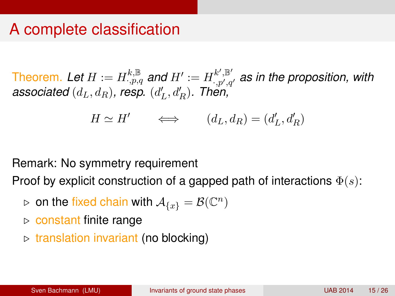## A complete classification

Theorem. Let  $H:=H_{\cdot,p,q}^{k,\mathbb{B}}$  and  $H':=H_{\cdot,p',q}^{k',\mathbb{B}'}$  $\cdot_{\cdot,p',q'}^{\cdot,\mathbb{P}}$  as in the proposition, with associated  $(d_L, d_R)$ , resp.  $(d'_L, d'_R)$ . Then,

 $H \simeq H' \qquad \Longleftrightarrow \qquad (d_L, d_R) = (d'_L, d'_R)$ 

Remark: No symmetry requirement

Proof by explicit construction of a gapped path of interactions  $\Phi(s)$ :

- $\triangleright$  on the fixed chain with  $\mathcal{A}_{\{x\}} = \mathcal{B}(\mathbb{C}^n)$
- $\triangleright$  constant finite range
- $\triangleright$  translation invariant (no blocking)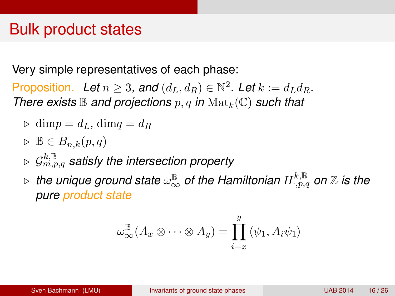### Bulk product states

Very simple representatives of each phase:

Proposition. Let  $n \geq 3$ , and  $(d_L, d_R) \in \mathbb{N}^2$ . Let  $k := d_L d_R$ . *There exists*  $\mathbb B$  *and projections*  $p, q$  *in*  $\text{Mat}_k(\mathbb C)$  *such that* 

$$
\triangleright \dim p = d_L, \dim q = d_R
$$

$$
\triangleright \mathbb{B} \in B_{n,k}(p,q)
$$

- $\varphi \ \mathcal{G}^{k,\mathbb{B}}_{m,p,q}$  satisfy the intersection property
- $\triangleright$  the unique ground state  $\omega_\infty^\mathbb{B}$  of the Hamiltonian  $H^{k,\mathbb{B}}_{\cdot,p,q}$  on  $\mathbb Z$  is the *pure product state*

$$
\omega_\infty^{\mathbb{B}}(A_x \otimes \cdots \otimes A_y) = \prod_{i=x}^y \langle \psi_1, A_i \psi_1 \rangle
$$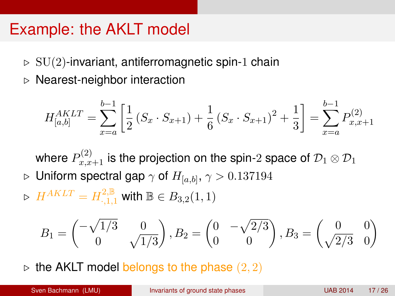### Example: the AKLT model

- $\triangleright$  SU(2)-invariant, antiferromagnetic spin-1 chain
- $\triangleright$  Nearest-neighbor interaction

$$
H_{[a,b]}^{AKLT} = \sum_{x=a}^{b-1} \left[ \frac{1}{2} \left( S_x \cdot S_{x+1} \right) + \frac{1}{6} \left( S_x \cdot S_{x+1} \right)^2 + \frac{1}{3} \right] = \sum_{x=a}^{b-1} P_{x,x+1}^{(2)}
$$

where  $P_{x,x+1}^{(2)}$  is the projection on the spin-2 space of  $\mathcal{D}_1\otimes \mathcal{D}_1$  $\rhd\,$  Uniform spectral gap  $\gamma$  of  $H_{[a,b]},\,\gamma>0.137194$ 

 $\triangleright$   $\; H^{AKLT} = H^{2,\mathbb{B}}_{\cdot ,1,1}$  with  $\mathbb{B} \in B_{3,2}(1,1)$ 

$$
B_1 = \begin{pmatrix} -\sqrt{1/3} & 0\\ 0 & \sqrt{1/3} \end{pmatrix}, B_2 = \begin{pmatrix} 0 & -\sqrt{2/3} \\ 0 & 0 \end{pmatrix}, B_3 = \begin{pmatrix} 0 & 0\\ \sqrt{2/3} & 0 \end{pmatrix}
$$

the AKLT model belongs to the phase  $(2, 2)$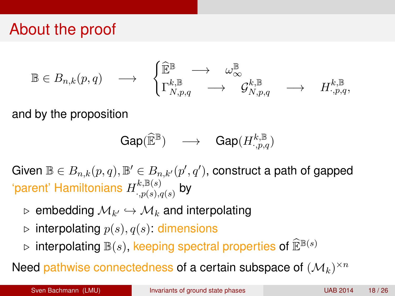# About the proof

$$
\mathbb{B} \in B_{n,k}(p,q) \quad \longrightarrow \quad \begin{cases} \widehat{\mathbb{E}}^{\mathbb{B}} \quad \longrightarrow \quad \omega^{\mathbb{B}}_{\infty} \\ \Gamma^{k,\mathbb{B}}_{N,p,q} \quad \longrightarrow \quad \mathcal{G}^{k,\mathbb{B}}_{N,p,q} \quad \longrightarrow \quad H^{k,\mathbb{B}}_{\cdot,p,q}, \end{cases}
$$

and by the proposition

$$
\text{Gap}(\widehat{\mathbb{E}}^{\mathbb{B}}) \quad \longrightarrow \quad \text{Gap}(H^{k,\mathbb{B}}_{\cdot,p,q})
$$

Given  $\mathbb{B} \in B_{n,k}(p,q), \mathbb{B}' \in B_{n,k'}(p',q')$ , construct a path of gapped 'parent' Hamiltonians  $H^{k,\mathbb{B}(s)}_{\cdot;\,n(s)}$  $\stackrel{\kappa, \mathbb{D}(s)}{\cdot, p(s), q(s)}$  by

- $\triangleright$  <code>embedding</code>  $\mathcal{M}_{k'} \hookrightarrow \mathcal{M}_{k}$  and interpolating
- $\triangleright$  interpolating  $p(s), q(s)$ : dimensions
- $\triangleright$  interpolating  $\mathbb{B}(s)$ , keeping spectral properties of  $\widehat{\mathbb{E}}^{\mathbb{B}(s)}$

Need pathwise connectedness of a certain subspace of  $(\mathcal{M}_k)^{\times n}$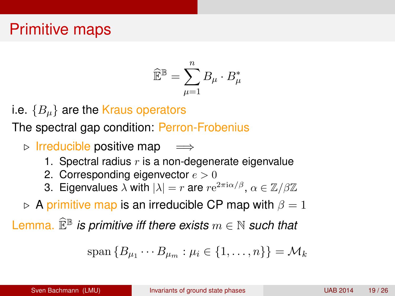## Primitive maps

$$
\widehat{\mathbb{E}}^{\mathbb{B}} = \sum_{\mu=1}^n B_{\mu} \cdot B_{\mu}^*
$$

i.e.  ${B<sub>u</sub>}$  are the Kraus operators

The spectral gap condition: Perron-Frobenius

 $\triangleright$  Irreducible positive map  $\implies$ 

- 1. Spectral radius  $r$  is a non-degenerate eigenvalue
- 2. Corresponding eigenvector  $e > 0$
- 3. Eigenvalues  $\lambda$  with  $|\lambda| = r$  are  $re^{2\pi i \alpha/\beta}$ ,  $\alpha \in \mathbb{Z}/\beta\mathbb{Z}$

 $\triangleright$  A primitive map is an irreducible CP map with  $\beta = 1$ 

Lemma.  $\widehat{\mathbb{E}}^{\mathbb{B}}$  *is primitive iff there exists*  $m \in \mathbb{N}$  *such that* 

$$
\mathrm{span}\{B_{\mu_1}\cdots B_{\mu_m}:\mu_i\in\{1,\ldots,n\}\}=\mathcal{M}_k
$$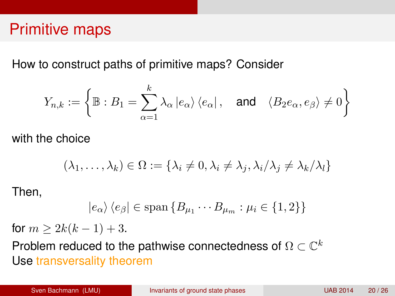### Primitive maps

How to construct paths of primitive maps? Consider

$$
Y_{n,k}:=\left\{\mathbb{B}: B_1=\sum_{\alpha=1}^k\lambda_{\alpha}\left|e_{\alpha}\right\rangle\left\langle e_{\alpha}\right|, \quad \text{and}\quad \langle B_2e_{\alpha}, e_{\beta}\rangle\neq 0\right\}
$$

with the choice

$$
(\lambda_1,\ldots,\lambda_k)\in\Omega:=\{\lambda_i\neq 0,\lambda_i\neq \lambda_j,\lambda_i/\lambda_j\neq \lambda_k/\lambda_l\}
$$

Then,

$$
|e_{\alpha}\rangle \langle e_{\beta} | \in \text{span} \{B_{\mu_1} \cdots B_{\mu_m} : \mu_i \in \{1,2\} \}
$$

for  $m \ge 2k(k-1) + 3$ .

Problem reduced to the pathwise connectedness of  $\Omega \subset \mathbb{C}^k$ Use transversality theorem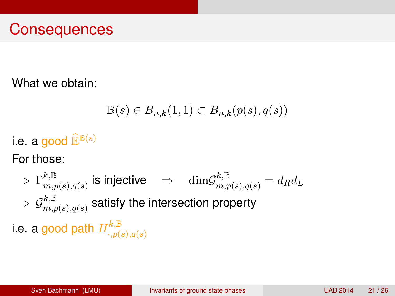### **Consequences**

What we obtain:

$$
\mathbb{B}(s) \in B_{n,k}(1,1) \subset B_{n,k}(p(s),q(s))
$$

i.e. a good  $\widehat{\mathbb{E}}^{\mathbb{B}(s)}$ 

For those:

$$
\triangleright \Gamma^{k,\mathbb{B}}_{m,p(s),q(s)} \text{ is injective} \quad \Rightarrow \quad \text{dim} \mathcal{G}^{k,\mathbb{B}}_{m,p(s),q(s)} = d_R d_L
$$
  

$$
\triangleright \mathcal{G}^{k,\mathbb{B}}_{m,p(s),q(s)} \text{ satisfy the intersection property}
$$

i.e. a good path  $H^{k,\mathbb{B}}_{\cdot,n(k)}$  $\cdot$ ,  $p(s)$ ,  $q(s)$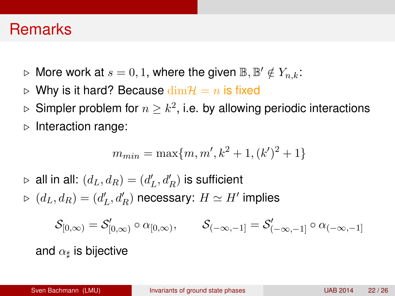#### **Remarks**

- $\triangleright$  More work at  $s=0,1$ , where the given  $\mathbb{B},\mathbb{B}'\notin Y_{n,k}$ :
- $\triangleright$  Why is it hard? Because  $\dim \mathcal{H} = n$  is fixed
- $\triangleright$  Simpler problem for  $n\geq k^2$ , i.e. by allowing periodic interactions
- $\triangleright$  Interaction range:

$$
m_{min} = \max\{m, m', k^2 + 1, (k')^2 + 1\}
$$

 $\triangleright$  all in all:  $(d_L, d_R) = (d_L', d_R')$  is sufficient  $\triangleright$   $(d_L, d_R) = (d'_L, d'_R)$  necessary:  $H \simeq H'$  implies

$$
\mathcal{S}_{[0,\infty)}=\mathcal{S}_{[0,\infty)}^\prime\circ\alpha_{[0,\infty)},\qquad \mathcal{S}_{(-\infty,-1]}=\mathcal{S}_{(-\infty,-1}^\prime\circ\alpha_{(-\infty,-1]}
$$

and  $\alpha_\sharp$  is bijective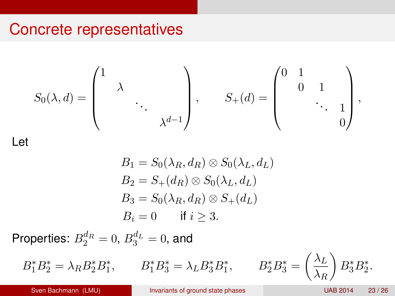#### Concrete representatives

$$
S_0(\lambda, d) = \begin{pmatrix} 1 & & & \\ & \lambda & & \\ & & \ddots & \\ & & & \lambda^{d-1} \end{pmatrix}, \qquad S_+(d) = \begin{pmatrix} 0 & 1 & & \\ & 0 & 1 & \\ & & \ddots & \\ & & & 0 \end{pmatrix},
$$

Let

$$
B_1 = S_0(\lambda_R, d_R) \otimes S_0(\lambda_L, d_L)
$$
  
\n
$$
B_2 = S_+(d_R) \otimes S_0(\lambda_L, d_L)
$$
  
\n
$$
B_3 = S_0(\lambda_R, d_R) \otimes S_+(d_L)
$$
  
\n
$$
B_i = 0 \quad \text{if } i \ge 3.
$$

Properties:  $B_2^{d_R}=0$ ,  $B_3^{d_L}=0$ , and

 $B_1^* B_2^* = \lambda_R B_2^* B_1^*,$   $B_1^* B_3^* = \lambda_L B_3^* B_1^*$ 

$$
B_2^* B_3^* = \left(\frac{\lambda_L}{\lambda_R}\right) B_3^* B_2^*.
$$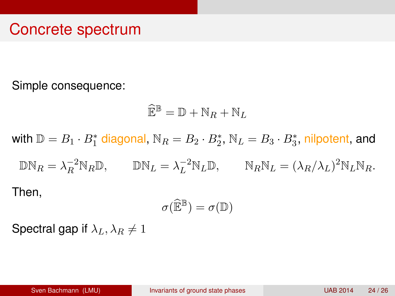#### Concrete spectrum

Simple consequence:

$$
\widehat{\mathbb{E}}^{\mathbb{B}} = \mathbb{D} + \mathbb{N}_R + \mathbb{N}_L
$$

with  $\mathbb{D}=B_1\cdot B_1^*$  diagonal,  $\mathbb{N}_R=B_2\cdot B_2^*,$   $\mathbb{N}_L=B_3\cdot B_3^*$ , nilpotent, and  $\mathbb{D} \mathbb{N}_R = \lambda_R^{-2} \mathbb{N}_R \mathbb{D}, \qquad \mathbb{D} \mathbb{N}_L = \lambda_L^{-2} \mathbb{N}_L \mathbb{D}, \qquad \mathbb{N}_R \mathbb{N}_L = (\lambda_R/\lambda_L)^2 \mathbb{N}_L \mathbb{N}_R.$ Then,

$$
\sigma(\widehat{\mathbb{E}}^{\mathbb{B}})=\sigma(\mathbb{D})
$$

Spectral gap if  $\lambda_L$ ,  $\lambda_R \neq 1$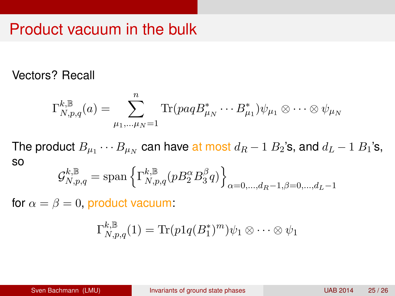### Product vacuum in the bulk

#### Vectors? Recall

$$
\Gamma_{N,p,q}^{k,\mathbb{B}}(a) = \sum_{\mu_1,\dots,\mu_N=1}^n \text{Tr}(paqB_{\mu_N}^* \cdots B_{\mu_1}^*) \psi_{\mu_1} \otimes \cdots \otimes \psi_{\mu_N}
$$

The product  $B_{\mu_1}\cdots B_{\mu_N}$  can have at most  $d_R-1$   $B_2$ 's, and  $d_L-1$   $B_1$ 's, so

$$
\mathcal{G}_{N,p,q}^{k,\mathbb{B}} = \text{span}\left\{\Gamma_{N,p,q}^{k,\mathbb{B}}(pB_2^{\alpha}B_3^{\beta}q)\right\}_{\alpha=0,\dots,d_R-1,\beta=0,\dots,d_L-1}
$$

for  $\alpha = \beta = 0$ , product vacuum:

$$
\Gamma_{N,p,q}^{k,\mathbb{B}}(1)=\text{Tr}(p1q(B_1^*)^m)\psi_1\otimes\cdots\otimes\psi_1
$$